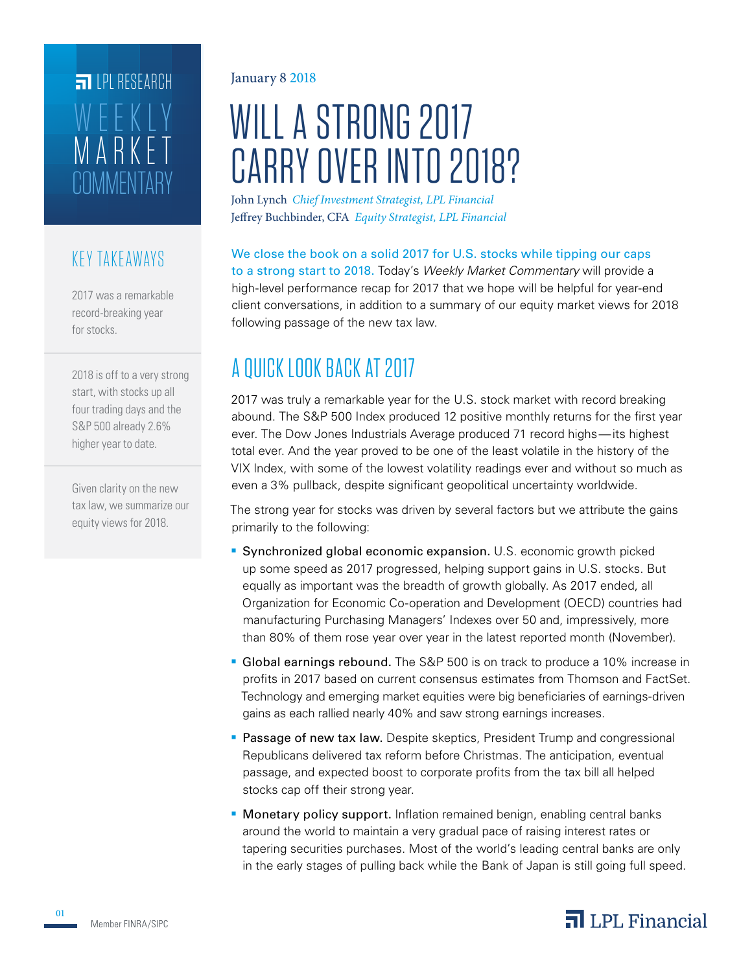# **COMMENTARY** MARKET WEEKLY **FILPI RESEARCH**

### KEY TAKEAWAYS

2017 was a remarkable record-breaking year for stocks.

2018 is off to a very strong start, with stocks up all four trading days and the S&P 500 already 2.6% higher year to date.

Given clarity on the new tax law, we summarize our equity views for 2018.

#### January 8 2018

# WILL A STRONG 2017 CARRY OVER INTO 2018?

John Lynch *Chief Investment Strategist, LPL Financial* Jeffrey Buchbinder, CFA *Equity Strategist, LPL Financial*

We close the book on a solid 2017 for U.S. stocks while tipping our caps to a strong start to 2018. Today's *Weekly Market Commentary* will provide a high-level performance recap for 2017 that we hope will be helpful for year-end client conversations, in addition to a summary of our equity market views for 2018 following passage of the new tax law.

# A QUICK LOOK BACK AT 2017

2017 was truly a remarkable year for the U.S. stock market with record breaking abound. The S&P 500 Index produced 12 positive monthly returns for the first year ever. The Dow Jones Industrials Average produced 71 record highs—its highest total ever. And the year proved to be one of the least volatile in the history of the VIX Index, with some of the lowest volatility readings ever and without so much as even a 3% pullback, despite significant geopolitical uncertainty worldwide.

The strong year for stocks was driven by several factors but we attribute the gains primarily to the following:

- **Synchronized global economic expansion.** U.S. economic growth picked up some speed as 2017 progressed, helping support gains in U.S. stocks. But equally as important was the breadth of growth globally. As 2017 ended, all Organization for Economic Co-operation and Development (OECD) countries had manufacturing Purchasing Managers' Indexes over 50 and, impressively, more than 80% of them rose year over year in the latest reported month (November).
- Global earnings rebound. The S&P 500 is on track to produce a 10% increase in profits in 2017 based on current consensus estimates from Thomson and FactSet. Technology and emerging market equities were big beneficiaries of earnings-driven gains as each rallied nearly 40% and saw strong earnings increases.
- **Passage of new tax law.** Despite skeptics, President Trump and congressional Republicans delivered tax reform before Christmas. The anticipation, eventual passage, and expected boost to corporate profits from the tax bill all helped stocks cap off their strong year.
- **Monetary policy support.** Inflation remained benign, enabling central banks around the world to maintain a very gradual pace of raising interest rates or tapering securities purchases. Most of the world's leading central banks are only in the early stages of pulling back while the Bank of Japan is still going full speed.

## $\overline{\mathbf{a}}$  LPL Financial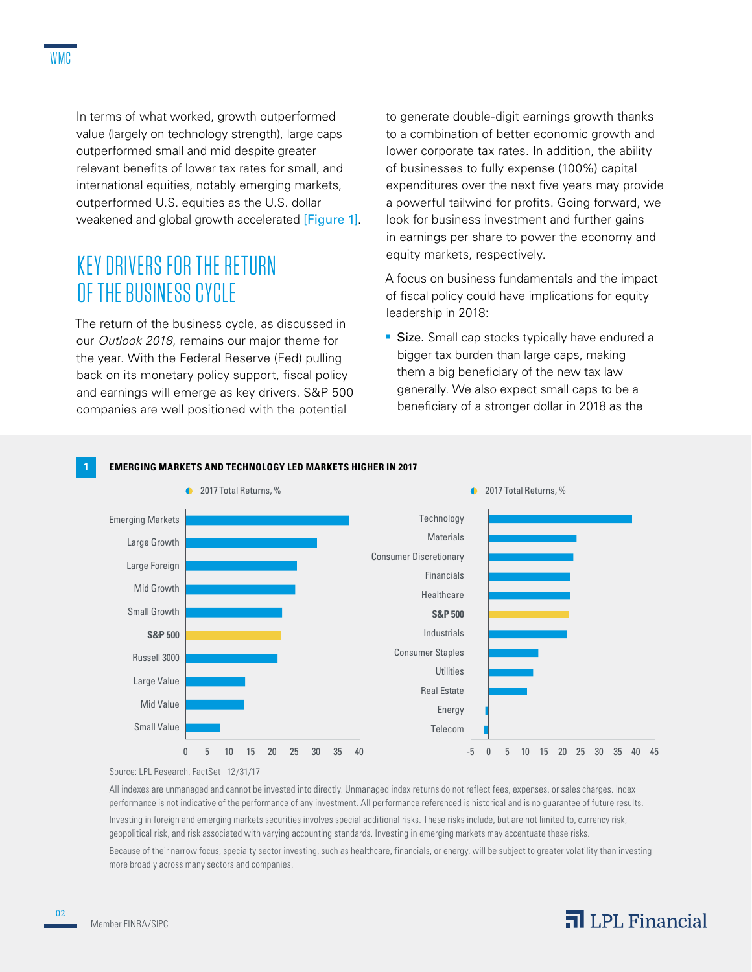In terms of what worked, growth outperformed value (largely on technology strength), large caps outperformed small and mid despite greater relevant benefits of lower tax rates for small, and international equities, notably emerging markets, outperformed U.S. equities as the U.S. dollar weakened and global growth accelerated [Figure 1].

## KEY DRIVERS FOR THE RETURN OF THE BUSINESS CYCLE

The return of the business cycle, as discussed in our *Outlook 2018*, remains our major theme for the year. With the Federal Reserve (Fed) pulling back on its monetary policy support, fiscal policy and earnings will emerge as key drivers. S&P 500 companies are well positioned with the potential

to generate double-digit earnings growth thanks to a combination of better economic growth and lower corporate tax rates. In addition, the ability of businesses to fully expense (100%) capital expenditures over the next five years may provide a powerful tailwind for profits. Going forward, we look for business investment and further gains in earnings per share to power the economy and equity markets, respectively.

A focus on business fundamentals and the impact of fiscal policy could have implications for equity leadership in 2018:

**Size.** Small cap stocks typically have endured a bigger tax burden than large caps, making them a big beneficiary of the new tax law generally. We also expect small caps to be a beneficiary of a stronger dollar in 2018 as the



#### **1 EMERGING MARKETS AND TECHNOLOGY LED MARKETS HIGHER IN 2017**

Source: LPL Research, FactSet 12/31/17

All indexes are unmanaged and cannot be invested into directly. Unmanaged index returns do not reflect fees, expenses, or sales charges. Index performance is not indicative of the performance of any investment. All performance referenced is historical and is no guarantee of future results.

Investing in foreign and emerging markets securities involves special additional risks. These risks include, but are not limited to, currency risk, geopolitical risk, and risk associated with varying accounting standards. Investing in emerging markets may accentuate these risks.

Because of their narrow focus, specialty sector investing, such as healthcare, financials, or energy, will be subject to greater volatility than investing more broadly across many sectors and companies.

02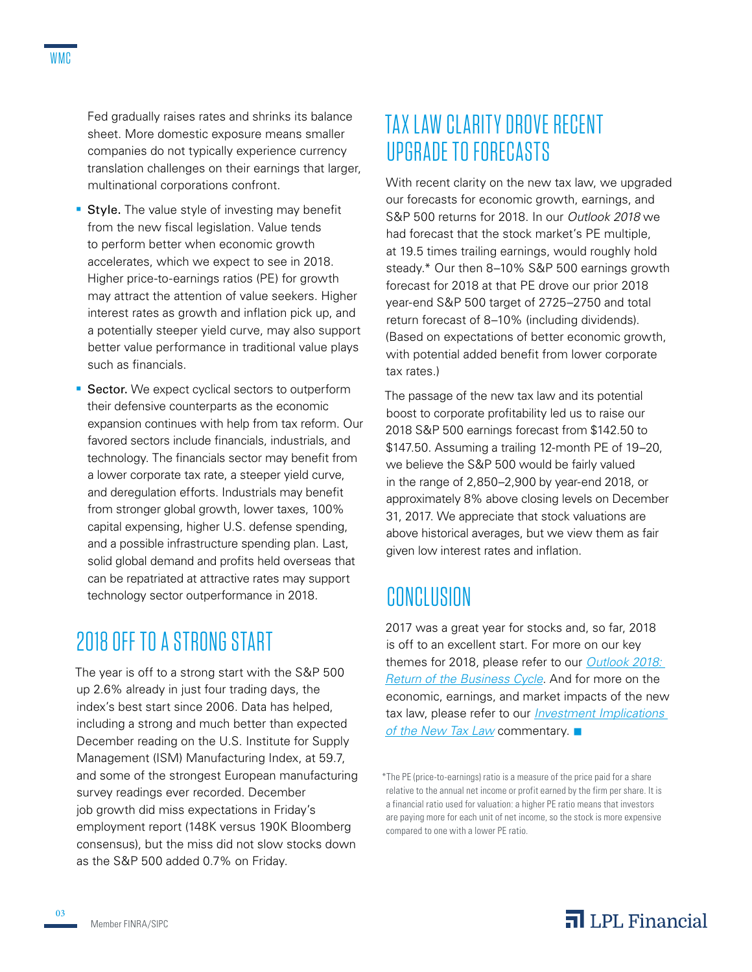Fed gradually raises rates and shrinks its balance sheet. More domestic exposure means smaller companies do not typically experience currency translation challenges on their earnings that larger, multinational corporations confront.

- **Style.** The value style of investing may benefit from the new fiscal legislation. Value tends to perform better when economic growth accelerates, which we expect to see in 2018. Higher price-to-earnings ratios (PE) for growth may attract the attention of value seekers. Higher interest rates as growth and inflation pick up, and a potentially steeper yield curve, may also support better value performance in traditional value plays such as financials.
- **Sector.** We expect cyclical sectors to outperform their defensive counterparts as the economic expansion continues with help from tax reform. Our favored sectors include financials, industrials, and technology. The financials sector may benefit from a lower corporate tax rate, a steeper yield curve, and deregulation efforts. Industrials may benefit from stronger global growth, lower taxes, 100% capital expensing, higher U.S. defense spending, and a possible infrastructure spending plan. Last, solid global demand and profits held overseas that can be repatriated at attractive rates may support technology sector outperformance in 2018.

# 2018 OFF TO A STRONG START

The year is off to a strong start with the S&P 500 up 2.6% already in just four trading days, the index's best start since 2006. Data has helped, including a strong and much better than expected December reading on the U.S. Institute for Supply Management (ISM) Manufacturing Index, at 59.7, and some of the strongest European manufacturing survey readings ever recorded. December job growth did miss expectations in Friday's employment report (148K versus 190K Bloomberg consensus), but the miss did not slow stocks down as the S&P 500 added 0.7% on Friday.

# TAX LAW CLARITY DROVE RECENT UPGRADE TO FORECASTS

With recent clarity on the new tax law, we upgraded our forecasts for economic growth, earnings, and S&P 500 returns for 2018. In our *Outlook 2018* we had forecast that the stock market's PE multiple, at 19.5 times trailing earnings, would roughly hold steady.\* Our then 8–10% S&P 500 earnings growth forecast for 2018 at that PE drove our prior 2018 year-end S&P 500 target of 2725–2750 and total return forecast of 8–10% (including dividends). (Based on expectations of better economic growth, with potential added benefit from lower corporate tax rates.)

The passage of the new tax law and its potential boost to corporate profitability led us to raise our 2018 S&P 500 earnings forecast from \$142.50 to \$147.50. Assuming a trailing 12-month PE of 19–20, we believe the S&P 500 would be fairly valued in the range of 2,850–2,900 by year-end 2018, or approximately 8% above closing levels on December 31, 2017. We appreciate that stock valuations are above historical averages, but we view them as fair given low interest rates and inflation.

# CONCLUSION

2017 was a great year for stocks and, so far, 2018 is off to an excellent start. For more on our key themes for 2018, please refer to our *Outlook 2018: Return of the Business Cycle*. And for more on the economic, earnings, and market impacts of the new tax law, please refer to our *Investment Implications of the New Tax Law* commentary.

<sup>\*</sup>The PE (price-to-earnings) ratio is a measure of the price paid for a share relative to the annual net income or profit earned by the firm per share. It is a financial ratio used for valuation: a higher PE ratio means that investors are paying more for each unit of net income, so the stock is more expensive compared to one with a lower PE ratio.